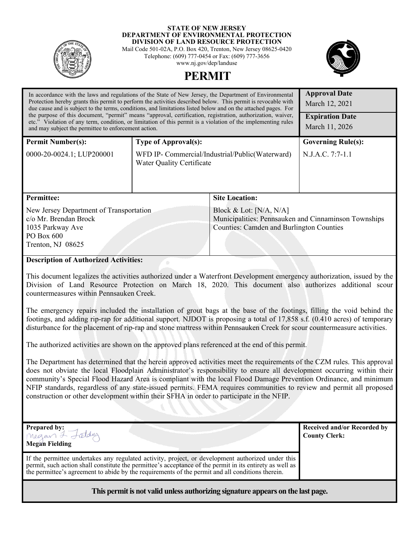

#### **STATE OF NEW JERSEY DEPARTMENT OF ENVIRONMENTAL PROTECTION DIVISION OF LAND RESOURCE PROTECTION**

Mail Code 501-02A, P.O. Box 420, Trenton, New Jersey 08625-0420 Telephone: (609) 777-0454 or Fax: (609) 777-3656 www.nj.gov/dep/landuse

**PERMIT** 



| In accordance with the laws and regulations of the State of New Jersey, the Department of Environmental<br>Protection hereby grants this permit to perform the activities described below. This permit is revocable with<br>due cause and is subject to the terms, conditions, and limitations listed below and on the attached pages. For<br>the purpose of this document, "permit" means "approval, certification, registration, authorization, waiver,<br>etc." Violation of any term, condition, or limitation of this permit is a violation of the implementing rules<br>and may subject the permittee to enforcement action. | <b>Approval Date</b><br>March 12, 2021<br><b>Expiration Date</b><br>March 11, 2026  |                                                                                                                                      |                           |  |
|------------------------------------------------------------------------------------------------------------------------------------------------------------------------------------------------------------------------------------------------------------------------------------------------------------------------------------------------------------------------------------------------------------------------------------------------------------------------------------------------------------------------------------------------------------------------------------------------------------------------------------|-------------------------------------------------------------------------------------|--------------------------------------------------------------------------------------------------------------------------------------|---------------------------|--|
| <b>Permit Number(s):</b>                                                                                                                                                                                                                                                                                                                                                                                                                                                                                                                                                                                                           | <b>Type of Approval(s):</b>                                                         |                                                                                                                                      | <b>Governing Rule(s):</b> |  |
| 0000-20-0024.1; LUP200001                                                                                                                                                                                                                                                                                                                                                                                                                                                                                                                                                                                                          | WFD IP- Commercial/Industrial/Public(Waterward)<br><b>Water Quality Certificate</b> |                                                                                                                                      | N.J.A.C. 7:7-1.1          |  |
| <b>Permittee:</b>                                                                                                                                                                                                                                                                                                                                                                                                                                                                                                                                                                                                                  |                                                                                     | <b>Site Location:</b>                                                                                                                |                           |  |
| New Jersey Department of Transportation<br>c/o Mr. Brendan Brock<br>1035 Parkway Ave<br>PO Box 600<br>Trenton, NJ 08625                                                                                                                                                                                                                                                                                                                                                                                                                                                                                                            |                                                                                     | Block & Lot: $[N/A, N/A]$<br>Municipalities: Pennsauken and Cinnaminson Townships<br><b>Counties: Camden and Burlington Counties</b> |                           |  |
| <b>Description of Authorized Activities:</b>                                                                                                                                                                                                                                                                                                                                                                                                                                                                                                                                                                                       |                                                                                     |                                                                                                                                      |                           |  |

 This document legalizes the activities authorized under a Waterfront Development emergency authorization, issued by the Division of Land Resource Protection on March 18, 2020. This document also authorizes additional scour countermeasures within Pennsauken Creek.

The emergency repairs included the installation of grout bags at the base of the footings, filling the void behind the footings, and adding rip-rap for additional support. NJDOT is proposing a total of 17,858 s.f. (0.410 acres) of temporary disturbance for the placement of rip-rap and stone mattress within Pennsauken Creek for scour countermeasure activities.

The authorized activities are shown on the approved plans referenced at the end of this permit.

The Department has determined that the herein approved activities meet the requirements of the CZM rules. This approval does not obviate the local Floodplain Administrator's responsibility to ensure all development occurring within their community's Special Flood Hazard Area is compliant with the local Flood Damage Prevention Ordinance, and minimum NFIP standards, regardless of any state-issued permits. FEMA requires communities to review and permit all proposed construction or other development within their SFHA in order to participate in the NFIP.

| Prepared by:<br>Megan & Leldus<br>Megan Fielding                                                                                                                                                                                                                                                                  | <b>Received and/or Recorded by</b><br><b>County Clerk:</b> |
|-------------------------------------------------------------------------------------------------------------------------------------------------------------------------------------------------------------------------------------------------------------------------------------------------------------------|------------------------------------------------------------|
| If the permittee undertakes any regulated activity, project, or development authorized under this<br>permit, such action shall constitute the permittee's acceptance of the permit in its entirety as well as<br>the permittee's agreement to abide by the requirements of the permit and all conditions therein. |                                                            |
|                                                                                                                                                                                                                                                                                                                   |                                                            |

**This permit is not valid unless authorizing signature appears on the last page.**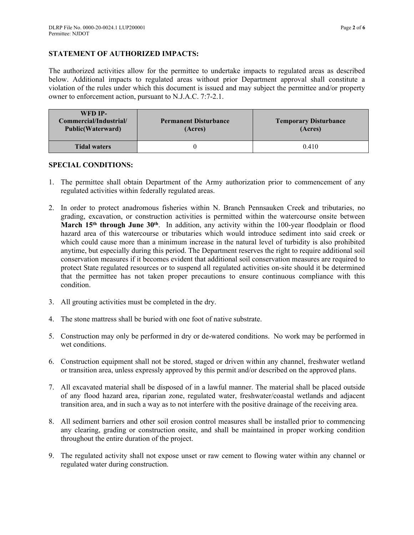## **STATEMENT OF AUTHORIZED IMPACTS:**

The authorized activities allow for the permittee to undertake impacts to regulated areas as described below. Additional impacts to regulated areas without prior Department approval shall constitute a violation of the rules under which this document is issued and may subject the permittee and/or property owner to enforcement action, pursuant to N.J.A.C. 7:7-2.1.

| WFD IP-<br>Commercial/Industrial/<br><b>Public(Waterward)</b> | <b>Permanent Disturbance</b><br>(Acres) | <b>Temporary Disturbance</b><br>(Acres) |
|---------------------------------------------------------------|-----------------------------------------|-----------------------------------------|
| <b>Tidal waters</b>                                           |                                         | 0.410                                   |

### **SPECIAL CONDITIONS:**

- 1. The permittee shall obtain Department of the Army authorization prior to commencement of any regulated activities within federally regulated areas.
- 2. In order to protect anadromous fisheries within N. Branch Pennsauken Creek and tributaries, no grading, excavation, or construction activities is permitted within the watercourse onsite between **March 15th through June 30th**. In addition, any activity within the 100-year floodplain or flood hazard area of this watercourse or tributaries which would introduce sediment into said creek or which could cause more than a minimum increase in the natural level of turbidity is also prohibited anytime, but especially during this period. The Department reserves the right to require additional soil conservation measures if it becomes evident that additional soil conservation measures are required to protect State regulated resources or to suspend all regulated activities on-site should it be determined that the permittee has not taken proper precautions to ensure continuous compliance with this condition.
- 3. All grouting activities must be completed in the dry.
- 4. The stone mattress shall be buried with one foot of native substrate.
- 5. Construction may only be performed in dry or de-watered conditions. No work may be performed in wet conditions.
- 6. Construction equipment shall not be stored, staged or driven within any channel, freshwater wetland or transition area, unless expressly approved by this permit and/or described on the approved plans.
- 7. All excavated material shall be disposed of in a lawful manner. The material shall be placed outside of any flood hazard area, riparian zone, regulated water, freshwater/coastal wetlands and adjacent transition area, and in such a way as to not interfere with the positive drainage of the receiving area.
- 8. All sediment barriers and other soil erosion control measures shall be installed prior to commencing any clearing, grading or construction onsite, and shall be maintained in proper working condition throughout the entire duration of the project.
- 9. The regulated activity shall not expose unset or raw cement to flowing water within any channel or regulated water during construction.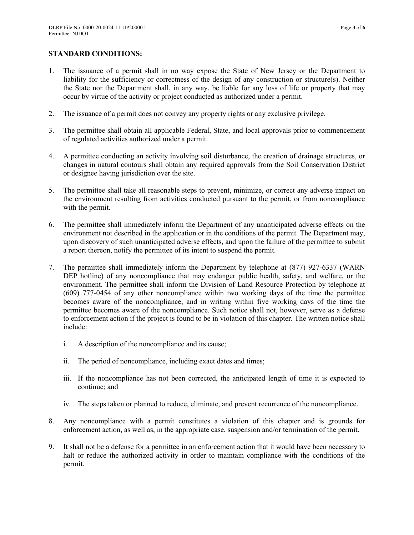## **STANDARD CONDITIONS:**

- 1. The issuance of a permit shall in no way expose the State of New Jersey or the Department to liability for the sufficiency or correctness of the design of any construction or structure(s). Neither the State nor the Department shall, in any way, be liable for any loss of life or property that may occur by virtue of the activity or project conducted as authorized under a permit.
- 2. The issuance of a permit does not convey any property rights or any exclusive privilege.
- 3. The permittee shall obtain all applicable Federal, State, and local approvals prior to commencement of regulated activities authorized under a permit.
- 4. A permittee conducting an activity involving soil disturbance, the creation of drainage structures, or changes in natural contours shall obtain any required approvals from the Soil Conservation District or designee having jurisdiction over the site.
- 5. The permittee shall take all reasonable steps to prevent, minimize, or correct any adverse impact on the environment resulting from activities conducted pursuant to the permit, or from noncompliance with the permit.
- 6. The permittee shall immediately inform the Department of any unanticipated adverse effects on the environment not described in the application or in the conditions of the permit. The Department may, upon discovery of such unanticipated adverse effects, and upon the failure of the permittee to submit a report thereon, notify the permittee of its intent to suspend the permit.
- 7. The permittee shall immediately inform the Department by telephone at (877) 927-6337 (WARN DEP hotline) of any noncompliance that may endanger public health, safety, and welfare, or the environment. The permittee shall inform the Division of Land Resource Protection by telephone at (609) 777-0454 of any other noncompliance within two working days of the time the permittee becomes aware of the noncompliance, and in writing within five working days of the time the permittee becomes aware of the noncompliance. Such notice shall not, however, serve as a defense to enforcement action if the project is found to be in violation of this chapter. The written notice shall include:
	- i. A description of the noncompliance and its cause;
	- ii. The period of noncompliance, including exact dates and times;
	- iii. If the noncompliance has not been corrected, the anticipated length of time it is expected to continue; and
	- iv. The steps taken or planned to reduce, eliminate, and prevent recurrence of the noncompliance.
- 8. Any noncompliance with a permit constitutes a violation of this chapter and is grounds for enforcement action, as well as, in the appropriate case, suspension and/or termination of the permit.
- 9. It shall not be a defense for a permittee in an enforcement action that it would have been necessary to halt or reduce the authorized activity in order to maintain compliance with the conditions of the permit.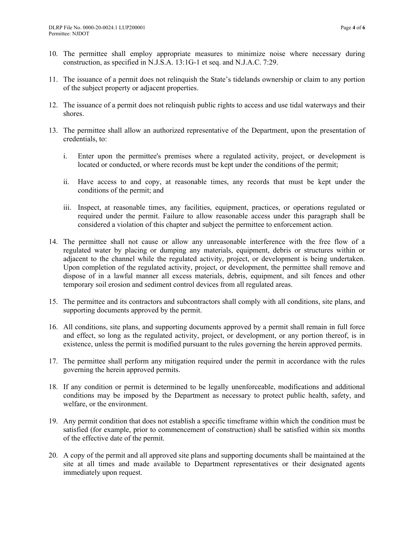- 10. The permittee shall employ appropriate measures to minimize noise where necessary during construction, as specified in N.J.S.A. 13:1G-1 et seq. and N.J.A.C. 7:29.
- 11. The issuance of a permit does not relinquish the State's tidelands ownership or claim to any portion of the subject property or adjacent properties.
- 12. The issuance of a permit does not relinquish public rights to access and use tidal waterways and their shores.
- 13. The permittee shall allow an authorized representative of the Department, upon the presentation of credentials, to:
	- i. Enter upon the permittee's premises where a regulated activity, project, or development is located or conducted, or where records must be kept under the conditions of the permit;
	- ii. Have access to and copy, at reasonable times, any records that must be kept under the conditions of the permit; and
	- iii. Inspect, at reasonable times, any facilities, equipment, practices, or operations regulated or required under the permit. Failure to allow reasonable access under this paragraph shall be considered a violation of this chapter and subject the permittee to enforcement action.
- 14. The permittee shall not cause or allow any unreasonable interference with the free flow of a regulated water by placing or dumping any materials, equipment, debris or structures within or adjacent to the channel while the regulated activity, project, or development is being undertaken. Upon completion of the regulated activity, project, or development, the permittee shall remove and dispose of in a lawful manner all excess materials, debris, equipment, and silt fences and other temporary soil erosion and sediment control devices from all regulated areas.
- 15. The permittee and its contractors and subcontractors shall comply with all conditions, site plans, and supporting documents approved by the permit.
- 16. All conditions, site plans, and supporting documents approved by a permit shall remain in full force and effect, so long as the regulated activity, project, or development, or any portion thereof, is in existence, unless the permit is modified pursuant to the rules governing the herein approved permits.
- 17. The permittee shall perform any mitigation required under the permit in accordance with the rules governing the herein approved permits.
- 18. If any condition or permit is determined to be legally unenforceable, modifications and additional conditions may be imposed by the Department as necessary to protect public health, safety, and welfare, or the environment.
- 19. Any permit condition that does not establish a specific timeframe within which the condition must be satisfied (for example, prior to commencement of construction) shall be satisfied within six months of the effective date of the permit.
- 20. A copy of the permit and all approved site plans and supporting documents shall be maintained at the site at all times and made available to Department representatives or their designated agents immediately upon request.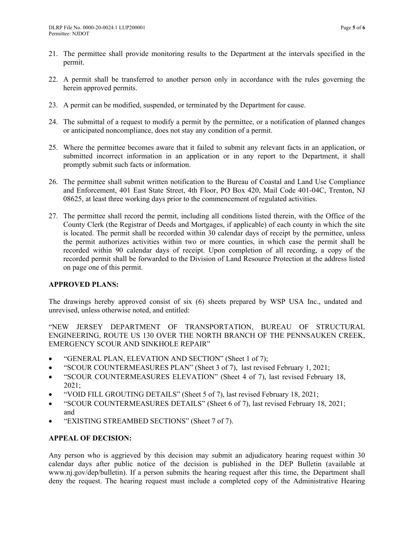- 21. The permittee shall provide monitoring results to the Department at the intervals specified in the permit.
- 22. A permit shall be transferred to another person only in accordance with the rules governing the herein approved permits.
- 23. A permit can be modified, suspended, or terminated by the Department for cause.
- 24. The submittal of a request to modify a permit by the permittee, or a notification of planned changes or anticipated noncompliance, does not stay any condition of a permit.
- 25. Where the permittee becomes aware that it failed to submit any relevant facts in an application, or submitted incorrect information in an application or in any report to the Department, it shall promptly submit such facts or information.
- 26. The permittee shall submit written notification to the Bureau of Coastal and Land Use Compliance and Enforcement, 401 East State Street, 4th Floor, PO Box 420, Mail Code 401-04C, Trenton, NJ 08625, at least three working days prior to the commencement of regulated activities.
- 27. The permittee shall record the permit, including all conditions listed therein, with the Office of the County Clerk (the Registrar of Deeds and Mortgages, if applicable) of each county in which the site is located. The permit shall be recorded within 30 calendar days of receipt by the permittee, unless the permit authorizes activities within two or more counties, in which case the permit shall be recorded within 90 calendar days of receipt. Upon completion of all recording, a copy of the recorded permit shall be forwarded to the Division of Land Resource Protection at the address listed on page one of this permit.

### **APPROVED PLANS:**

The drawings hereby approved consist of six (6) sheets prepared by WSP USA Inc., undated and unrevised, unless otherwise noted, and entitled:

"NEW JERSEY DEPARTMENT OF TRANSPORTATION, BUREAU OF STRUCTURAL ENGINEERING, ROUTE US 130 OVER THE NORTH BRANCH OF THE PENNSAUKEN CREEK, EMERGENCY SCOUR AND SINKHOLE REPAIR"

- "GENERAL PLAN, ELEVATION AND SECTION" (Sheet 1 of 7);
- "SCOUR COUNTERMEASURES PLAN" (Sheet 3 of 7), last revised February 1, 2021;
- "SCOUR COUNTERMEASURES ELEVATION" (Sheet 4 of 7), last revised February 18, 2021;
- "VOID FILL GROUTING DETAILS" (Sheet 5 of 7), last revised February 18, 2021;
- "SCOUR COUNTERMEASURES DETAILS" (Sheet 6 of 7), last revised February 18, 2021; and
- "EXISTING STREAMBED SECTIONS" (Sheet 7 of 7).

# **APPEAL OF DECISION:**

Any person who is aggrieved by this decision may submit an adjudicatory hearing request within 30 calendar days after public notice of the decision is published in the DEP Bulletin (available at www.nj.gov/dep/bulletin). If a person submits the hearing request after this time, the Department shall deny the request. The hearing request must include a completed copy of the Administrative Hearing